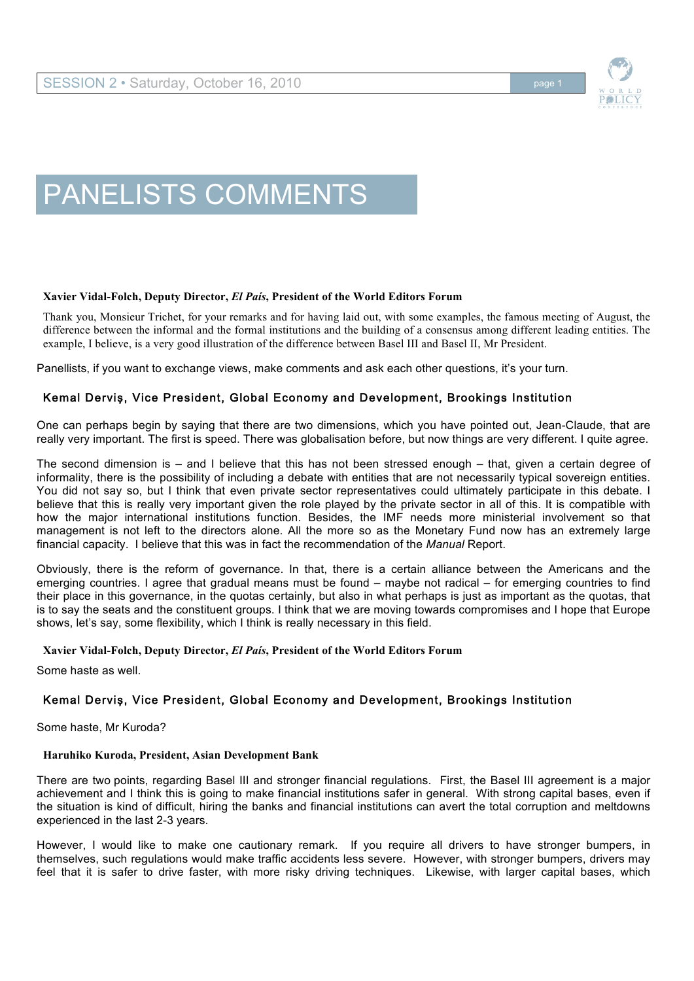

# PANELISTS COMMENTS

#### **Xavier Vidal-Folch, Deputy Director,** *El País***, President of the World Editors Forum**

Thank you, Monsieur Trichet, for your remarks and for having laid out, with some examples, the famous meeting of August, the difference between the informal and the formal institutions and the building of a consensus among different leading entities. The example, I believe, is a very good illustration of the difference between Basel III and Basel II, Mr President.

Panellists, if you want to exchange views, make comments and ask each other questions, it's your turn.

## Kemal Derviş, Vice President, Global Economy and Development, Brookings Institution

One can perhaps begin by saying that there are two dimensions, which you have pointed out, Jean-Claude, that are really very important. The first is speed. There was globalisation before, but now things are very different. I quite agree.

The second dimension is – and I believe that this has not been stressed enough – that, given a certain degree of informality, there is the possibility of including a debate with entities that are not necessarily typical sovereign entities. You did not say so, but I think that even private sector representatives could ultimately participate in this debate. I believe that this is really very important given the role played by the private sector in all of this. It is compatible with how the major international institutions function. Besides, the IMF needs more ministerial involvement so that management is not left to the directors alone. All the more so as the Monetary Fund now has an extremely large financial capacity. I believe that this was in fact the recommendation of the *Manual* Report.

Obviously, there is the reform of governance. In that, there is a certain alliance between the Americans and the emerging countries. I agree that gradual means must be found – maybe not radical – for emerging countries to find their place in this governance, in the quotas certainly, but also in what perhaps is just as important as the quotas, that is to say the seats and the constituent groups. I think that we are moving towards compromises and I hope that Europe shows, let's say, some flexibility, which I think is really necessary in this field.

#### **Xavier Vidal-Folch, Deputy Director,** *El País***, President of the World Editors Forum**

Some haste as well.

## Kemal Dervis, Vice President, Global Economy and Development, Brookings Institution

Some haste, Mr Kuroda?

#### **Haruhiko Kuroda, President, Asian Development Bank**

There are two points, regarding Basel III and stronger financial regulations. First, the Basel III agreement is a major achievement and I think this is going to make financial institutions safer in general. With strong capital bases, even if the situation is kind of difficult, hiring the banks and financial institutions can avert the total corruption and meltdowns experienced in the last 2-3 years.

However, I would like to make one cautionary remark. If you require all drivers to have stronger bumpers, in themselves, such regulations would make traffic accidents less severe. However, with stronger bumpers, drivers may feel that it is safer to drive faster, with more risky driving techniques. Likewise, with larger capital bases, which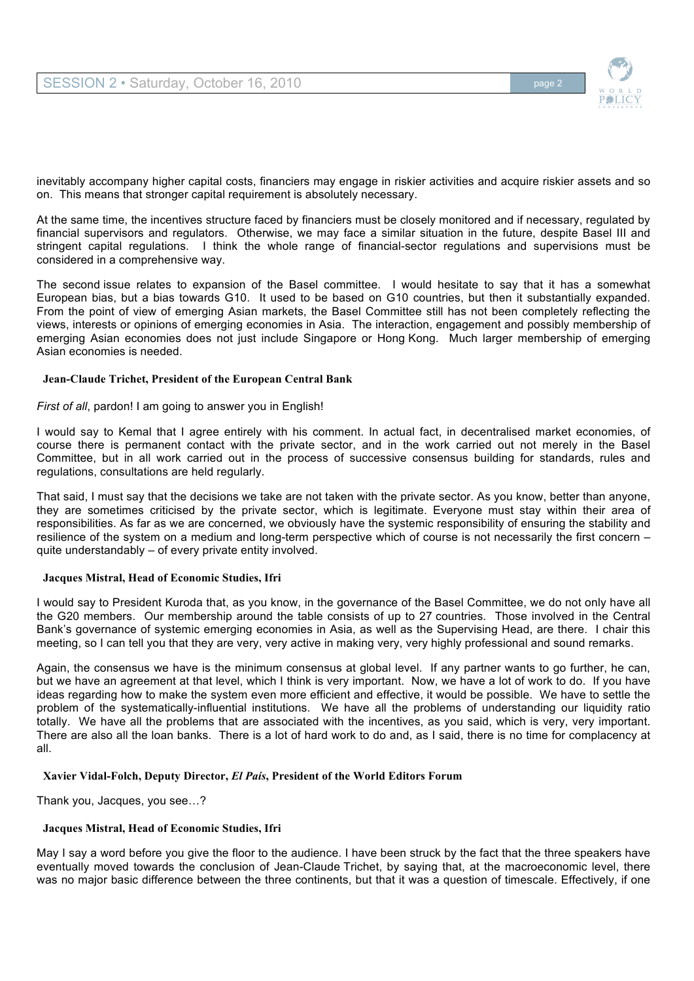

inevitably accompany higher capital costs, financiers may engage in riskier activities and acquire riskier assets and so on. This means that stronger capital requirement is absolutely necessary.

At the same time, the incentives structure faced by financiers must be closely monitored and if necessary, regulated by financial supervisors and regulators. Otherwise, we may face a similar situation in the future, despite Basel III and stringent capital regulations. I think the whole range of financial-sector regulations and supervisions must be considered in a comprehensive way.

The second issue relates to expansion of the Basel committee. I would hesitate to say that it has a somewhat European bias, but a bias towards G10. It used to be based on G10 countries, but then it substantially expanded. From the point of view of emerging Asian markets, the Basel Committee still has not been completely reflecting the views, interests or opinions of emerging economies in Asia. The interaction, engagement and possibly membership of emerging Asian economies does not just include Singapore or Hong Kong. Much larger membership of emerging Asian economies is needed.

#### **Jean-Claude Trichet, President of the European Central Bank**

*First of all*, pardon! I am going to answer you in English!

I would say to Kemal that I agree entirely with his comment. In actual fact, in decentralised market economies, of course there is permanent contact with the private sector, and in the work carried out not merely in the Basel Committee, but in all work carried out in the process of successive consensus building for standards, rules and regulations, consultations are held regularly.

That said, I must say that the decisions we take are not taken with the private sector. As you know, better than anyone, they are sometimes criticised by the private sector, which is legitimate. Everyone must stay within their area of responsibilities. As far as we are concerned, we obviously have the systemic responsibility of ensuring the stability and resilience of the system on a medium and long-term perspective which of course is not necessarily the first concern – quite understandably – of every private entity involved.

#### **Jacques Mistral, Head of Economic Studies, Ifri**

I would say to President Kuroda that, as you know, in the governance of the Basel Committee, we do not only have all the G20 members. Our membership around the table consists of up to 27 countries. Those involved in the Central Bank's governance of systemic emerging economies in Asia, as well as the Supervising Head, are there. I chair this meeting, so I can tell you that they are very, very active in making very, very highly professional and sound remarks.

Again, the consensus we have is the minimum consensus at global level. If any partner wants to go further, he can, but we have an agreement at that level, which I think is very important. Now, we have a lot of work to do. If you have ideas regarding how to make the system even more efficient and effective, it would be possible. We have to settle the problem of the systematically-influential institutions. We have all the problems of understanding our liquidity ratio totally. We have all the problems that are associated with the incentives, as you said, which is very, very important. There are also all the loan banks. There is a lot of hard work to do and, as I said, there is no time for complacency at all.

### **Xavier Vidal-Folch, Deputy Director,** *El País***, President of the World Editors Forum**

Thank you, Jacques, you see…?

#### **Jacques Mistral, Head of Economic Studies, Ifri**

May I say a word before you give the floor to the audience. I have been struck by the fact that the three speakers have eventually moved towards the conclusion of Jean-Claude Trichet, by saying that, at the macroeconomic level, there was no major basic difference between the three continents, but that it was a question of timescale. Effectively, if one